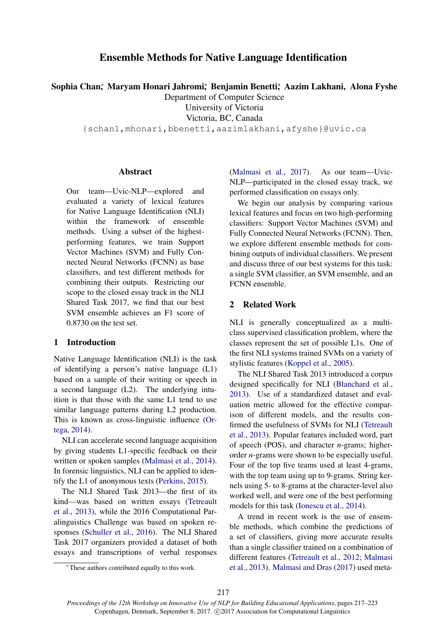# Ensemble Methods for Native Language Identification

Sophia Chan‡ Maryam Honari Jahromi‡ Benjamin Benetti‡ Aazim Lakhani, Alona Fyshe

Department of Computer Science University of Victoria

Victoria, BC, Canada

{schan1,mhonari,bbenetti,aazimlakhani,afyshe}@uvic.ca

## **Abstract**

Our team—Uvic-NLP—explored and evaluated a variety of lexical features for Native Language Identification (NLI) within the framework of ensemble methods. Using a subset of the highestperforming features, we train Support Vector Machines (SVM) and Fully Connected Neural Networks (FCNN) as base classifiers, and test different methods for combining their outputs. Restricting our scope to the closed essay track in the NLI Shared Task 2017, we find that our best SVM ensemble achieves an F1 score of 0.8730 on the test set.

## 1 Introduction

Native Language Identification (NLI) is the task of identifying a person's native language (L1) based on a sample of their writing or speech in a second language (L2). The underlying intuition is that those with the same L1 tend to use similar language patterns during L2 production. This is known as cross-linguistic influence (Ortega, 2014).

NLI can accelerate second language acquisition by giving students L1-specific feedback on their written or spoken samples (Malmasi et al., 2014). In forensic linguistics, NLI can be applied to identify the L1 of anonymous texts (Perkins, 2015).

The NLI Shared Task 2013—the first of its kind—was based on written essays (Tetreault et al., 2013), while the 2016 Computational Paralinguistics Challenge was based on spoken responses (Schuller et al., 2016). The NLI Shared Task 2017 organizers provided a dataset of both essays and transcriptions of verbal responses (Malmasi et al., 2017). As our team—Uvic-NLP—participated in the closed essay track, we performed classification on essays only.

We begin our analysis by comparing various lexical features and focus on two high-performing classifiers: Support Vector Machines (SVM) and Fully Connected Neural Networks (FCNN). Then, we explore different ensemble methods for combining outputs of individual classifiers. We present and discuss three of our best systems for this task: a single SVM classifier, an SVM ensemble, and an FCNN ensemble.

# 2 Related Work

NLI is generally conceptualized as a multiclass supervised classification problem, where the classes represent the set of possible L1s. One of the first NLI systems trained SVMs on a variety of stylistic features (Koppel et al., 2005).

The NLI Shared Task 2013 introduced a corpus designed specifically for NLI (Blanchard et al., 2013). Use of a standardized dataset and evaluation metric allowed for the effective comparison of different models, and the results confirmed the usefulness of SVMs for NLI (Tetreault et al., 2013). Popular features included word, part of speech (POS), and character *n*-grams; higherorder *n*-grams were shown to be especially useful. Four of the top five teams used at least 4-grams, with the top team using up to 9-grams. String kernels using 5- to 8-grams at the character-level also worked well, and were one of the best performing models for this task (Ionescu et al., 2014).

A trend in recent work is the use of ensemble methods, which combine the predictions of a set of classifiers, giving more accurate results than a single classifier trained on a combination of different features (Tetreault et al., 2012; Malmasi et al., 2013). Malmasi and Dras (2017) used meta-

<sup>∗</sup> These authors contributed equally to this work.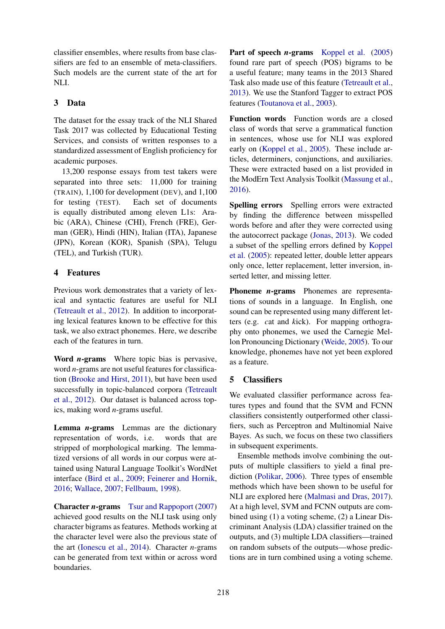classifier ensembles, where results from base classifiers are fed to an ensemble of meta-classifiers. Such models are the current state of the art for NLI.

# 3 Data

The dataset for the essay track of the NLI Shared Task 2017 was collected by Educational Testing Services, and consists of written responses to a standardized assessment of English proficiency for academic purposes.

13,200 response essays from test takers were separated into three sets: 11,000 for training (TRAIN), 1,100 for development (DEV), and 1,100 for testing (TEST). Each set of documents is equally distributed among eleven L1s: Arabic (ARA), Chinese (CHI), French (FRE), German (GER), Hindi (HIN), Italian (ITA), Japanese (JPN), Korean (KOR), Spanish (SPA), Telugu (TEL), and Turkish (TUR).

# 4 Features

Previous work demonstrates that a variety of lexical and syntactic features are useful for NLI (Tetreault et al., 2012). In addition to incorporating lexical features known to be effective for this task, we also extract phonemes. Here, we describe each of the features in turn.

Word *n*-grams Where topic bias is pervasive, word *n*-grams are not useful features for classification (Brooke and Hirst, 2011), but have been used successfully in topic-balanced corpora (Tetreault et al., 2012). Our dataset is balanced across topics, making word *n*-grams useful.

Lemma *n*-grams Lemmas are the dictionary representation of words, i.e. words that are stripped of morphological marking. The lemmatized versions of all words in our corpus were attained using Natural Language Toolkit's WordNet interface (Bird et al., 2009; Feinerer and Hornik, 2016; Wallace, 2007; Fellbaum, 1998).

**Character** *n***-grams** Tsur and Rappoport (2007) achieved good results on the NLI task using only character bigrams as features. Methods working at the character level were also the previous state of the art (Ionescu et al., 2014). Character *n*-grams can be generated from text within or across word boundaries.

Part of speech *n*-grams Koppel et al. (2005) found rare part of speech (POS) bigrams to be a useful feature; many teams in the 2013 Shared Task also made use of this feature (Tetreault et al., 2013). We use the Stanford Tagger to extract POS features (Toutanova et al., 2003).

Function words Function words are a closed class of words that serve a grammatical function in sentences, whose use for NLI was explored early on (Koppel et al., 2005). These include articles, determiners, conjunctions, and auxiliaries. These were extracted based on a list provided in the ModErn Text Analysis Toolkit (Massung et al., 2016).

Spelling errors Spelling errors were extracted by finding the difference between misspelled words before and after they were corrected using the autocorrect package (Jonas, 2013). We coded a subset of the spelling errors defined by Koppel et al. (2005): repeated letter, double letter appears only once, letter replacement, letter inversion, inserted letter, and missing letter.

Phoneme *n*-grams Phonemes are representations of sounds in a language. In English, one sound can be represented using many different letters (e.g. *c*at and *k*ick). For mapping orthography onto phonemes, we used the Carnegie Mellon Pronouncing Dictionary (Weide, 2005). To our knowledge, phonemes have not yet been explored as a feature.

# 5 Classifiers

We evaluated classifier performance across features types and found that the SVM and FCNN classifiers consistently outperformed other classifiers, such as Perceptron and Multinomial Naive Bayes. As such, we focus on these two classifiers in subsequent experiments.

Ensemble methods involve combining the outputs of multiple classifiers to yield a final prediction (Polikar, 2006). Three types of ensemble methods which have been shown to be useful for NLI are explored here (Malmasi and Dras, 2017). At a high level, SVM and FCNN outputs are combined using (1) a voting scheme, (2) a Linear Discriminant Analysis (LDA) classifier trained on the outputs, and (3) multiple LDA classifiers—trained on random subsets of the outputs—whose predictions are in turn combined using a voting scheme.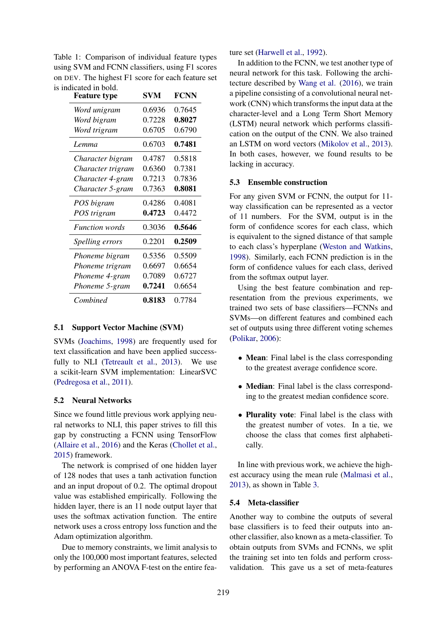| Footure type                                      | CVM FONN |  |
|---------------------------------------------------|----------|--|
| is indicated in bold.                             |          |  |
| on DEV. The highest F1 score for each feature set |          |  |
| using SVM and FCNN classifiers, using F1 scores   |          |  |
| Table 1: Comparison of individual feature types   |          |  |

| <b>Feature type</b>   | SVM    | <b>FCNN</b> |
|-----------------------|--------|-------------|
| Word unigram          | 0.6936 | 0.7645      |
| Word bigram           | 0.7228 | 0.8027      |
| Word trigram          | 0.6705 | 0.6790      |
| <i>Lemma</i>          | 0.6703 | 0.7481      |
| Character bigram      | 0.4787 | 0.5818      |
| Character trigram     | 0.6360 | 0.7381      |
| Character 4-gram      | 0.7213 | 0.7836      |
| Character 5-gram      | 0.7363 | 0.8081      |
| POS bigram            | 0.4286 | 0.4081      |
| POS trigram           | 0.4723 | 0.4472      |
| <b>Function</b> words | 0.3036 | 0.5646      |
| Spelling errors       | 0.2201 | 0.2509      |
| Phoneme bigram        | 0.5356 | 0.5509      |
| Phoneme trigram       | 0.6697 | 0.6654      |
| Phoneme 4-gram        | 0.7089 | 0.6727      |
| Phoneme 5-gram        | 0.7241 | 0.6654      |
| Combined              | 0.8183 | 0.7784      |

#### 5.1 Support Vector Machine (SVM)

SVMs (Joachims, 1998) are frequently used for text classification and have been applied successfully to NLI (Tetreault et al., 2013). We use a scikit-learn SVM implementation: LinearSVC (Pedregosa et al., 2011).

#### 5.2 Neural Networks

Since we found little previous work applying neural networks to NLI, this paper strives to fill this gap by constructing a FCNN using TensorFlow (Allaire et al., 2016) and the Keras (Chollet et al., 2015) framework.

The network is comprised of one hidden layer of 128 nodes that uses a tanh activation function and an input dropout of 0.2. The optimal dropout value was established empirically. Following the hidden layer, there is an 11 node output layer that uses the softmax activation function. The entire network uses a cross entropy loss function and the Adam optimization algorithm.

Due to memory constraints, we limit analysis to only the 100,000 most important features, selected by performing an ANOVA F-test on the entire feature set (Harwell et al., 1992).

In addition to the FCNN, we test another type of neural network for this task. Following the architecture described by Wang et al. (2016), we train a pipeline consisting of a convolutional neural network (CNN) which transforms the input data at the character-level and a Long Term Short Memory (LSTM) neural network which performs classification on the output of the CNN. We also trained an LSTM on word vectors (Mikolov et al., 2013). In both cases, however, we found results to be lacking in accuracy.

#### 5.3 Ensemble construction

For any given SVM or FCNN, the output for 11 way classification can be represented as a vector of 11 numbers. For the SVM, output is in the form of confidence scores for each class, which is equivalent to the signed distance of that sample to each class's hyperplane (Weston and Watkins, 1998). Similarly, each FCNN prediction is in the form of confidence values for each class, derived from the softmax output layer.

Using the best feature combination and representation from the previous experiments, we trained two sets of base classifiers—FCNNs and SVMs—on different features and combined each set of outputs using three different voting schemes (Polikar, 2006):

- Mean: Final label is the class corresponding to the greatest average confidence score.
- Median: Final label is the class corresponding to the greatest median confidence score.
- **Plurality vote**: Final label is the class with the greatest number of votes. In a tie, we choose the class that comes first alphabetically.

In line with previous work, we achieve the highest accuracy using the mean rule (Malmasi et al., 2013), as shown in Table 3.

### 5.4 Meta-classifier

Another way to combine the outputs of several base classifiers is to feed their outputs into another classifier, also known as a meta-classifier. To obtain outputs from SVMs and FCNNs, we split the training set into ten folds and perform crossvalidation. This gave us a set of meta-features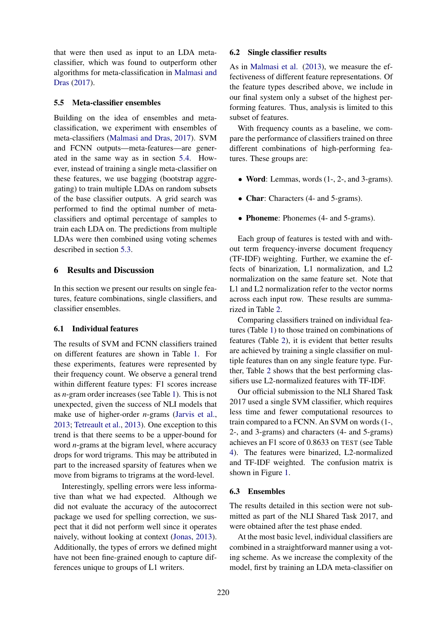that were then used as input to an LDA metaclassifier, which was found to outperform other algorithms for meta-classification in Malmasi and Dras (2017).

### 5.5 Meta-classifier ensembles

Building on the idea of ensembles and metaclassification, we experiment with ensembles of meta-classifiers (Malmasi and Dras, 2017). SVM and FCNN outputs—meta-features—are generated in the same way as in section 5.4. However, instead of training a single meta-classifier on these features, we use bagging (bootstrap aggregating) to train multiple LDAs on random subsets of the base classifier outputs. A grid search was performed to find the optimal number of metaclassifiers and optimal percentage of samples to train each LDA on. The predictions from multiple LDAs were then combined using voting schemes described in section 5.3.

## 6 Results and Discussion

In this section we present our results on single features, feature combinations, single classifiers, and classifier ensembles.

## 6.1 Individual features

The results of SVM and FCNN classifiers trained on different features are shown in Table 1. For these experiments, features were represented by their frequency count. We observe a general trend within different feature types: F1 scores increase as *n*-gram order increases (see Table 1). This is not unexpected, given the success of NLI models that make use of higher-order *n*-grams (Jarvis et al., 2013; Tetreault et al., 2013). One exception to this trend is that there seems to be a upper-bound for word *n*-grams at the bigram level, where accuracy drops for word trigrams. This may be attributed in part to the increased sparsity of features when we move from bigrams to trigrams at the word-level.

Interestingly, spelling errors were less informative than what we had expected. Although we did not evaluate the accuracy of the autocorrect package we used for spelling correction, we suspect that it did not perform well since it operates naively, without looking at context (Jonas, 2013). Additionally, the types of errors we defined might have not been fine-grained enough to capture differences unique to groups of L1 writers.

### 6.2 Single classifier results

As in Malmasi et al. (2013), we measure the effectiveness of different feature representations. Of the feature types described above, we include in our final system only a subset of the highest performing features. Thus, analysis is limited to this subset of features.

With frequency counts as a baseline, we compare the performance of classifiers trained on three different combinations of high-performing features. These groups are:

- Word: Lemmas, words (1-, 2-, and 3-grams).
- Char: Characters (4- and 5-grams).
- Phoneme: Phonemes (4- and 5-grams).

Each group of features is tested with and without term frequency-inverse document frequency (TF-IDF) weighting. Further, we examine the effects of binarization, L1 normalization, and L2 normalization on the same feature set. Note that L1 and L2 normalization refer to the vector norms across each input row. These results are summarized in Table 2.

Comparing classifiers trained on individual features (Table 1) to those trained on combinations of features (Table 2), it is evident that better results are achieved by training a single classifier on multiple features than on any single feature type. Further, Table 2 shows that the best performing classifiers use L2-normalized features with TF-IDF.

Our official submission to the NLI Shared Task 2017 used a single SVM classifier, which requires less time and fewer computational resources to train compared to a FCNN. An SVM on words (1-, 2-, and 3-grams) and characters (4- and 5-grams) achieves an F1 score of 0.8633 on TEST (see Table 4). The features were binarized, L2-normalized and TF-IDF weighted. The confusion matrix is shown in Figure 1.

### 6.3 Ensembles

The results detailed in this section were not submitted as part of the NLI Shared Task 2017, and were obtained after the test phase ended.

At the most basic level, individual classifiers are combined in a straightforward manner using a voting scheme. As we increase the complexity of the model, first by training an LDA meta-classifier on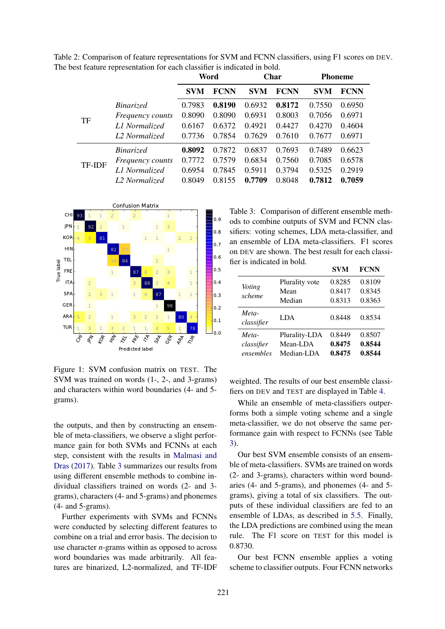Table 2: Comparison of feature representations for SVM and FCNN classifiers, using F1 scores on DEV. The best feature representation for each classifier is indicated in bold.

|               |                         |            | Word        |            | Char        |            | <b>Phoneme</b> |
|---------------|-------------------------|------------|-------------|------------|-------------|------------|----------------|
|               |                         | <b>SVM</b> | <b>FCNN</b> | <b>SVM</b> | <b>FCNN</b> | <b>SVM</b> | <b>FCNN</b>    |
|               | <i>Binarized</i>        | 0.7983     | 0.8190      | 0.6932     | 0.8172      | 0.7550     | 0.6950         |
| TF            | <i>Frequency counts</i> | 0.8090     | 0.8090      | 0.6931     | 0.8003      | 0.7056     | 0.6971         |
|               | L1 Normalized           | 0.6167     | 0.6372      | 0.4921     | 0.4427      | 0.4270     | 0.4604         |
|               | L2 Normalized           | 0.7736     | 0.7854      | 0.7629     | 0.7610      | 0.7677     | 0.6971         |
|               | Binarized               | 0.8092     | 0.7872      | 0.6837     | 0.7693      | 0.7489     | 0.6623         |
| <b>TF-IDF</b> | <i>Frequency counts</i> | 0.7772     | 0.7579      | 0.6834     | 0.7560      | 0.7085     | 0.6578         |
|               | L1 Normalized           | 0.6954     | 0.7845      | 0.5911     | 0.3794      | 0.5325     | 0.2919         |
|               | L2 Normalized           | 0.8049     | 0.8155      | 0.7709     | 0.8048      | 0.7812     | 0.7059         |



Figure 1: SVM confusion matrix on TEST. The SVM was trained on words (1-, 2-, and 3-grams) and characters within word boundaries (4- and 5 grams).

the outputs, and then by constructing an ensemble of meta-classifiers, we observe a slight performance gain for both SVMs and FCNNs at each step, consistent with the results in Malmasi and Dras (2017). Table 3 summarizes our results from using different ensemble methods to combine individual classifiers trained on words (2- and 3 grams), characters (4- and 5-grams) and phonemes (4- and 5-grams).

Further experiments with SVMs and FCNNs were conducted by selecting different features to combine on a trial and error basis. The decision to use character *n*-grams within as opposed to across word boundaries was made arbitrarily. All features are binarized, L2-normalized, and TF-IDF

Table 3: Comparison of different ensemble methods to combine outputs of SVM and FCNN classifiers: voting schemes, LDA meta-classifier, and an ensemble of LDA meta-classifiers. F1 scores on DEV are shown. The best result for each classifier is indicated in bold.

|                     |                | <b>SVM</b> | <b>FCNN</b> |
|---------------------|----------------|------------|-------------|
| Voting              | Plurality vote | 0.8285     | 0.8109      |
| scheme              | Mean           | 0.8417     | 0.8345      |
|                     | Median         | 0.8313     | 0.8363      |
| Meta-<br>classifier | LDA.           | 0.8448     | 0.8534      |
| Meta-               | Plurality-LDA  | 0.8449     | 0.8507      |
| classifier          | Mean-LDA       | 0.8475     | 0.8544      |
| ensembles           | Median-LDA     | 0.8475     | 0.8544      |

weighted. The results of our best ensemble classifiers on DEV and TEST are displayed in Table 4.

While an ensemble of meta-classifiers outperforms both a simple voting scheme and a single meta-classifier, we do not observe the same performance gain with respect to FCNNs (see Table 3).

Our best SVM ensemble consists of an ensemble of meta-classifiers. SVMs are trained on words (2- and 3-grams), characters within word boundaries (4- and 5-grams), and phonemes (4- and 5 grams), giving a total of six classifiers. The outputs of these individual classifiers are fed to an ensemble of LDAs, as described in 5.5. Finally, the LDA predictions are combined using the mean rule. The F1 score on TEST for this model is 0.8730.

Our best FCNN ensemble applies a voting scheme to classifier outputs. Four FCNN networks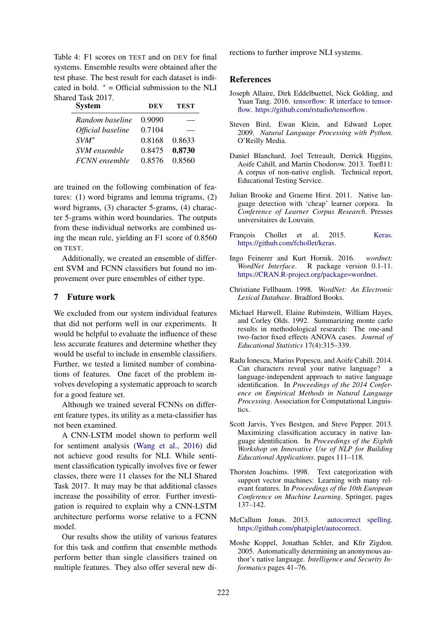Table 4: F1 scores on TEST and on DEV for final systems. Ensemble results were obtained after the test phase. The best result for each dataset is indicated in bold.  $* =$  Official submission to the NLI Shared Task 2017.

| <b>System</b>        | DEV    | <b>TEST</b> |
|----------------------|--------|-------------|
| Random baseline      | 0.9090 |             |
| Official baseline    | 0.7104 |             |
| $SVM^*$              | 0.8168 | 0.8633      |
| SVM ensemble         | 0.8475 | 0.8730      |
| <b>FCNN</b> ensemble | 0.8576 | 0.8560      |

are trained on the following combination of features: (1) word bigrams and lemma trigrams, (2) word bigrams, (3) character 5-grams, (4) character 5-grams within word boundaries. The outputs from these individual networks are combined using the mean rule, yielding an F1 score of 0.8560 on TEST.

Additionally, we created an ensemble of different SVM and FCNN classifiers but found no improvement over pure ensembles of either type.

## 7 Future work

We excluded from our system individual features that did not perform well in our experiments. It would be helpful to evaluate the influence of these less accurate features and determine whether they would be useful to include in ensemble classifiers. Further, we tested a limited number of combinations of features. One facet of the problem involves developing a systematic approach to search for a good feature set.

Although we trained several FCNNs on different feature types, its utility as a meta-classifier has not been examined.

A CNN-LSTM model shown to perform well for sentiment analysis (Wang et al., 2016) did not achieve good results for NLI. While sentiment classification typically involves five or fewer classes, there were 11 classes for the NLI Shared Task 2017. It may may be that additional classes increase the possibility of error. Further investigation is required to explain why a CNN-LSTM architecture performs worse relative to a FCNN model.

Our results show the utility of various features for this task and confirm that ensemble methods perform better than single classifiers trained on multiple features. They also offer several new directions to further improve NLI systems.

#### **References**

- Joseph Allaire, Dirk Eddelbuettel, Nick Golding, and Yuan Tang. 2016. tensorflow: R interface to tensorflow. https://github.com/rstudio/tensorflow.
- Steven Bird, Ewan Klein, and Edward Loper. 2009. *Natural Language Processing with Python*. O'Reilly Media.
- Daniel Blanchard, Joel Tetreault, Derrick Higgins, Aoife Cahill, and Martin Chodorow. 2013. Toefl11: A corpus of non-native english. Technical report, Educational Testing Service.
- Julian Brooke and Graeme Hirst. 2011. Native language detection with 'cheap' learner corpora. In *Conference of Learner Corpus Research*. Presses universitaires de Louvain.
- François Chollet et al. 2015. Keras. https://github.com/fchollet/keras.
- Ingo Feinerer and Kurt Hornik. 2016. *wordnet: WordNet Interface*. R package version 0.1-11. https://CRAN.R-project.org/package=wordnet.
- Christiane Fellbaum. 1998. *WordNet: An Electronic Lexical Database*. Bradford Books.
- Michael Harwell, Elaine Rubinstein, William Hayes, and Corley Olds. 1992. Summarizing monte carlo results in methodological research: The one-and two-factor fixed effects ANOVA cases. *Journal of Educational Statistics* 17(4):315–339.
- Radu Ionescu, Marius Popescu, and Aoife Cahill. 2014. Can characters reveal your native language? language-independent approach to native language identification. In *Proceedings of the 2014 Conference on Empirical Methods in Natural Language Processing*. Association for Computational Linguistics.
- Scott Jarvis, Yves Bestgen, and Steve Pepper. 2013. Maximizing classification accuracy in native language identification. In *Proceedings of the Eighth Workshop on Innovative Use of NLP for Building Educational Applications*. pages 111–118.
- Thorsten Joachims. 1998. Text categorization with support vector machines: Learning with many relevant features. In *Proceedings of the 10th European Conference on Machine Learning*. Springer, pages 137–142.
- McCallum Jonas. 2013. autocorrect spelling. https://github.com/phatpiglet/autocorrect.
- Moshe Koppel, Jonathan Schler, and Kfir Zigdon. 2005. Automatically determining an anonymous author's native language. *Intelligence and Security Informatics* pages 41–76.